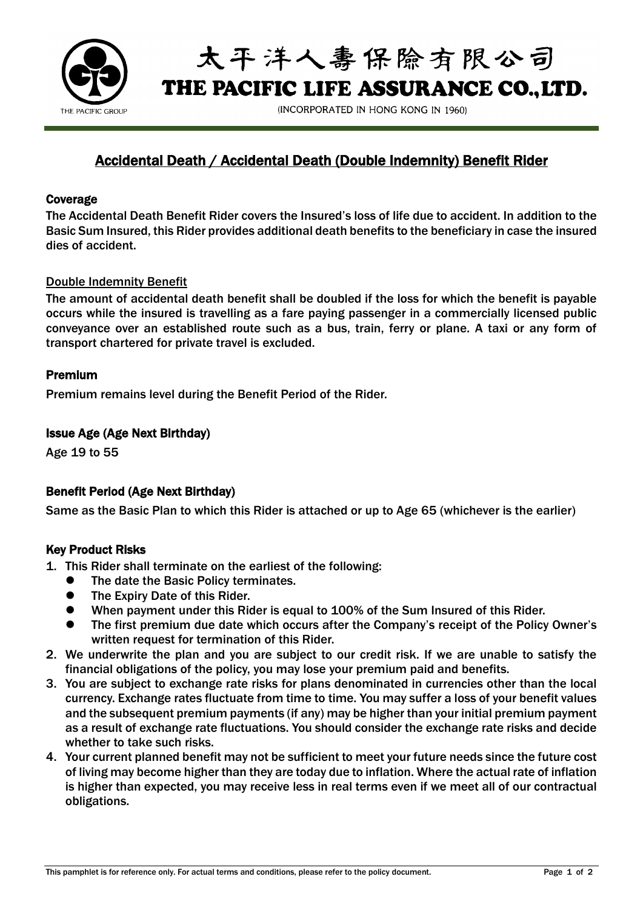

太平洋人毒保除有限公司 THE PACIFIC LIFE ASSURANCE CO..LTD.

(INCORPORATED IN HONG KONG IN 1960)

# Accidental Death / Accidental Death (Double Indemnity) Benefit Rider

#### Coverage

The Accidental Death Benefit Rider covers the Insured's loss of life due to accident. In addition to the Basic Sum Insured, this Rider provides additional death benefits to the beneficiary in case the insured dies of accident.

#### Double Indemnity Benefit

The amount of accidental death benefit shall be doubled if the loss for which the benefit is payable occurs while the insured is travelling as a fare paying passenger in a commercially licensed public conveyance over an established route such as a bus, train, ferry or plane. A taxi or any form of transport chartered for private travel is excluded.

#### Premium

Premium remains level during the Benefit Period of the Rider.

#### Issue Age (Age Next Birthday)

Age 19 to 55

## Benefit Period (Age Next Birthday)

Same as the Basic Plan to which this Rider is attached or up to Age 65 (whichever is the earlier)

#### Key Product Risks

- 1. This Rider shall terminate on the earliest of the following:
	- ⚫ The date the Basic Policy terminates.
	- The Expiry Date of this Rider.
	- ⚫ When payment under this Rider is equal to 100% of the Sum Insured of this Rider.
	- ⚫ The first premium due date which occurs after the Company's receipt of the Policy Owner's written request for termination of this Rider.
- 2. We underwrite the plan and you are subject to our credit risk. If we are unable to satisfy the financial obligations of the policy, you may lose your premium paid and benefits.
- 3. You are subject to exchange rate risks for plans denominated in currencies other than the local currency. Exchange rates fluctuate from time to time. You may suffer a loss of your benefit values and the subsequent premium payments (if any) may be higher than your initial premium payment as a result of exchange rate fluctuations. You should consider the exchange rate risks and decide whether to take such risks.
- 4. Your current planned benefit may not be sufficient to meet your future needs since the future cost of living may become higher than they are today due to inflation. Where the actual rate of inflation is higher than expected, you may receive less in real terms even if we meet all of our contractual obligations.